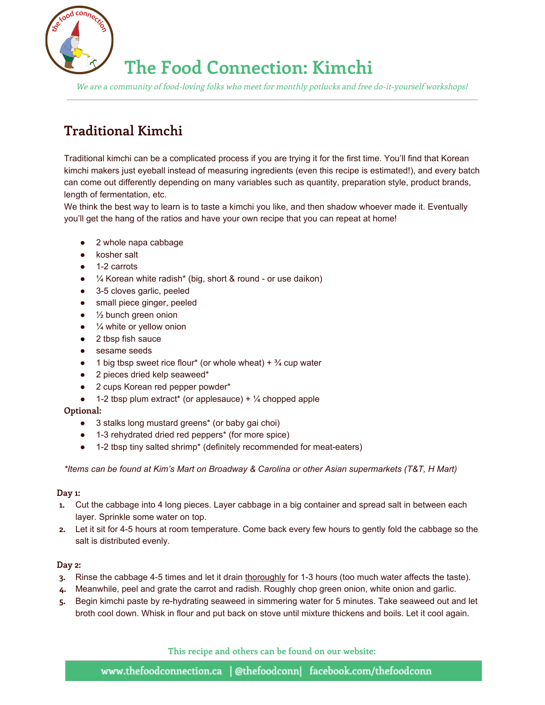

# **The Food Connection: Kimchi**

We are <sup>a</sup> community of food-loving folks who meet for monthly potlucks and free do-it-yourself workshops!

### **Traditional Kimchi**

Traditional kimchi can be a complicated process if you are trying it for the first time. You'll find that Korean kimchi makers just eyeball instead of measuring ingredients (even this recipe is estimated!), and every batch can come out differently depending on many variables such as quantity, preparation style, product brands, length of fermentation, etc.

We think the best way to learn is to taste a kimchi you like, and then shadow whoever made it. Eventually you'll get the hang of the ratios and have your own recipe that you can repeat at home!

- 2 whole napa cabbage
- kosher salt
- 1-2 carrots
- $\bullet$   $\frac{1}{4}$  Korean white radish\* (big, short & round or use daikon)
- 3-5 cloves garlic, peeled
- small piece ginger, peeled
- $\bullet$   $\frac{1}{2}$  bunch green onion
- $\bullet$   $\frac{1}{4}$  white or yellow onion
- 2 tbsp fish sauce
- sesame seeds
- $\bullet$  1 big tbsp sweet rice flour\* (or whole wheat) +  $\frac{3}{4}$  cup water
- 2 pieces dried kelp seaweed\*
- 2 cups Korean red pepper powder\*
- $\bullet$  1-2 tbsp plum extract\* (or applesauce) +  $\frac{1}{4}$  chopped apple

### **Optional:**

- 3 stalks long mustard greens<sup>\*</sup> (or baby gai choi)
- 13 rehydrated dried red peppers\* (for more spice)
- 1-2 tbsp tiny salted shrimp\* (definitely recommended for meat-eaters)

*\*Items can be found at Kim's Mart on Broadway & Carolina or other Asian supermarkets (T&T, H Mart)*

### **Day 1:**

- **1.** Cut the cabbage into 4 long pieces. Layer cabbage in a big container and spread salt in between each layer. Sprinkle some water on top.
- **2.** Let it sit for 45 hours at room temperature. Come back every few hours to gently fold the cabbage so the salt is distributed evenly.

### **Day 2:**

- **3.** Rinse the cabbage 45 times and let it drain thoroughly for 13 hours (too much water affects the taste).
- **4.** Meanwhile, peel and grate the carrot and radish. Roughly chop green onion, white onion and garlic.
- 5. Begin kimchi paste by re-hydrating seaweed in simmering water for 5 minutes. Take seaweed out and let broth cool down. Whisk in flour and put back on stove until mixture thickens and boils. Let it cool again.

**This recipe and others can be found on our website:**